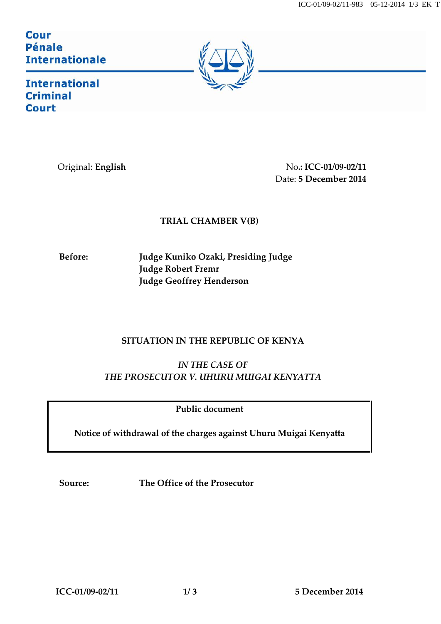ICC-01/09-02/11-983 05-12-2014 1/3 EK T

**Cour** Pénale **Internationale** 

<u>Francisco de la pro</u>



**International Criminal Court** 

Original: **English** No**.: ICC-01/09-02/11** Date: **5 December 2014**

## **TRIAL CHAMBER V(B)**

**Before: Judge Kuniko Ozaki, Presiding Judge Judge Robert Fremr Judge Geoffrey Henderson**

## **SITUATION IN THE REPUBLIC OF KENYA**

*IN THE CASE OF THE PROSECUTOR V. UHURU MUIGAI KENYATTA*

**Public document**

**Notice of withdrawal of the charges against Uhuru Muigai Kenyatta**

**Source: The Office of the Prosecutor**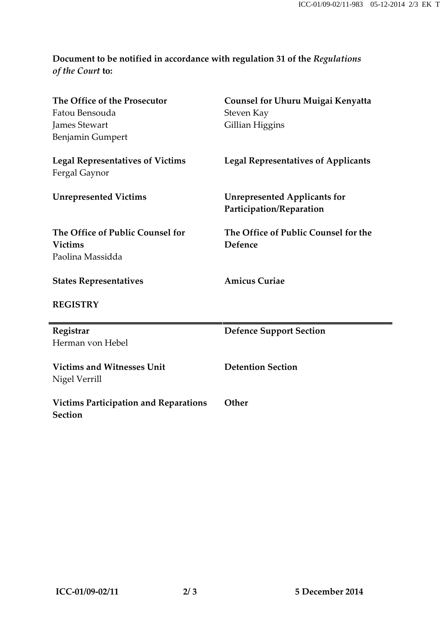## **Document to be notified in accordance with regulation 31 of the** *Regulations of the Court* **to:**

| The Office of the Prosecutor<br>Fatou Bensouda<br><b>James Stewart</b><br><b>Benjamin Gumpert</b> | <b>Counsel for Uhuru Muigai Kenyatta</b><br>Steven Kay<br>Gillian Higgins |
|---------------------------------------------------------------------------------------------------|---------------------------------------------------------------------------|
| <b>Legal Representatives of Victims</b><br>Fergal Gaynor                                          | <b>Legal Representatives of Applicants</b>                                |
| <b>Unrepresented Victims</b>                                                                      | <b>Unrepresented Applicants for</b><br>Participation/Reparation           |
| The Office of Public Counsel for<br><b>Victims</b><br>Paolina Massidda                            | The Office of Public Counsel for the<br>Defence                           |
| <b>States Representatives</b>                                                                     | <b>Amicus Curiae</b>                                                      |
| <b>REGISTRY</b>                                                                                   |                                                                           |
| Registrar<br>Herman von Hebel                                                                     | <b>Defence Support Section</b>                                            |
| <b>Victims and Witnesses Unit</b><br>Nigel Verrill                                                | <b>Detention Section</b>                                                  |
| <b>Victims Participation and Reparations</b><br><b>Section</b>                                    | Other                                                                     |